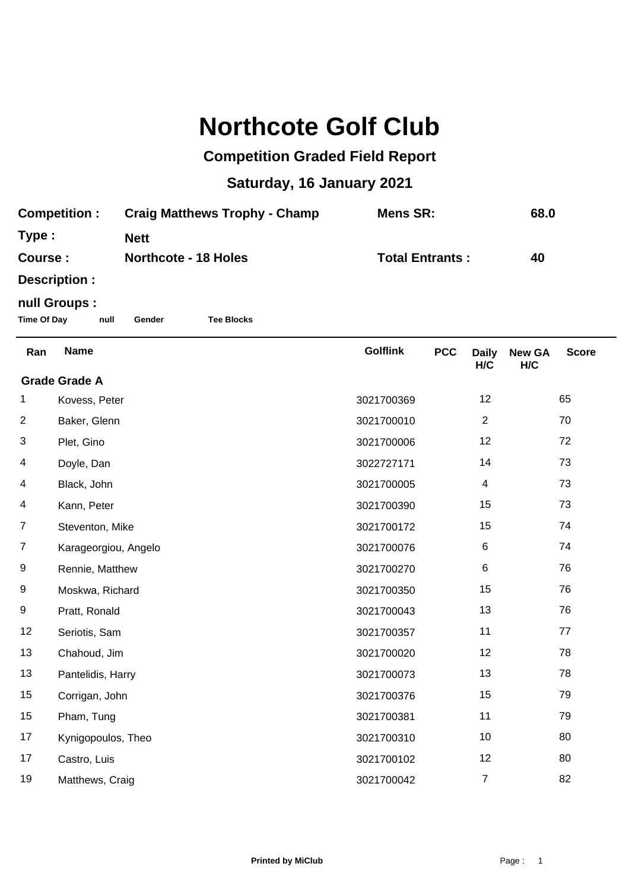## **Northcote Golf Club**

## **Competition Graded Field Report**

## **Saturday, 16 January 2021**

| <b>Competition:</b> | <b>Craig Matthews Trophy - Champ</b> | Mens SR:               | 68.0 |
|---------------------|--------------------------------------|------------------------|------|
| Type:               | Nett                                 |                        |      |
| Course :            | <b>Northcote - 18 Holes</b>          | <b>Total Entrants:</b> | 40   |
| Deceptation.        |                                      |                        |      |

**Description :**

## **null Groups :**

**Time Of Day null Gender Tee Blocks**

| Ran                  | <b>Name</b>          | <b>Golflink</b> | <b>PCC</b> | <b>Daily</b><br>H/C | <b>New GA</b><br>H/C | <b>Score</b> |  |
|----------------------|----------------------|-----------------|------------|---------------------|----------------------|--------------|--|
| <b>Grade Grade A</b> |                      |                 |            |                     |                      |              |  |
| 1                    | Kovess, Peter        | 3021700369      |            | 12                  |                      | 65           |  |
| $\overline{c}$       | Baker, Glenn         | 3021700010      |            | $\overline{2}$      |                      | 70           |  |
| 3                    | Plet, Gino           | 3021700006      |            | 12                  |                      | 72           |  |
| 4                    | Doyle, Dan           | 3022727171      |            | 14                  |                      | 73           |  |
| 4                    | Black, John          | 3021700005      |            | $\overline{4}$      |                      | 73           |  |
| 4                    | Kann, Peter          | 3021700390      |            | 15                  |                      | 73           |  |
| $\overline{7}$       | Steventon, Mike      | 3021700172      |            | 15                  |                      | 74           |  |
| 7                    | Karageorgiou, Angelo | 3021700076      |            | 6                   |                      | 74           |  |
| 9                    | Rennie, Matthew      | 3021700270      |            | 6                   |                      | 76           |  |
| 9                    | Moskwa, Richard      | 3021700350      |            | 15                  |                      | 76           |  |
| 9                    | Pratt, Ronald        | 3021700043      |            | 13                  |                      | 76           |  |
| 12                   | Seriotis, Sam        | 3021700357      |            | 11                  |                      | 77           |  |
| 13                   | Chahoud, Jim         | 3021700020      |            | 12                  |                      | 78           |  |
| 13                   | Pantelidis, Harry    | 3021700073      |            | 13                  |                      | 78           |  |
| 15                   | Corrigan, John       | 3021700376      |            | 15                  |                      | 79           |  |
| 15                   | Pham, Tung           | 3021700381      |            | 11                  |                      | 79           |  |
| 17                   | Kynigopoulos, Theo   | 3021700310      |            | 10                  |                      | 80           |  |
| 17                   | Castro, Luis         | 3021700102      |            | 12                  |                      | 80           |  |
| 19                   | Matthews, Craig      | 3021700042      |            | $\overline{7}$      |                      | 82           |  |